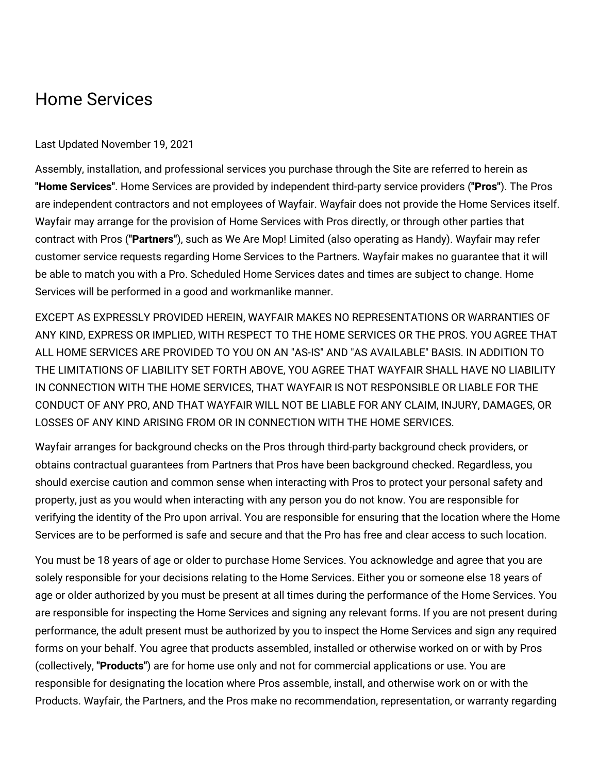## Home Services

## Last Updated November 19, 2021

Assembly, installation, and professional services you purchase through the Site are referred to herein as **"Home Services"**. Home Services are provided by independent third-party service providers (**"Pros"**). The Pros are independent contractors and not employees of Wayfair. Wayfair does not provide the Home Services itself. Wayfair may arrange for the provision of Home Services with Pros directly, or through other parties that contract with Pros (**"Partners"**), such as We Are Mop! Limited (also operating as Handy). Wayfair may refer customer service requests regarding Home Services to the Partners. Wayfair makes no guarantee that it will be able to match you with a Pro. Scheduled Home Services dates and times are subject to change. Home Services will be performed in a good and workmanlike manner.

EXCEPT AS EXPRESSLY PROVIDED HEREIN, WAYFAIR MAKES NO REPRESENTATIONS OR WARRANTIES OF ANY KIND, EXPRESS OR IMPLIED, WITH RESPECT TO THE HOME SERVICES OR THE PROS. YOU AGREE THAT ALL HOME SERVICES ARE PROVIDED TO YOU ON AN "AS-IS" AND "AS AVAILABLE" BASIS. IN ADDITION TO THE LIMITATIONS OF LIABILITY SET FORTH ABOVE, YOU AGREE THAT WAYFAIR SHALL HAVE NO LIABILITY IN CONNECTION WITH THE HOME SERVICES, THAT WAYFAIR IS NOT RESPONSIBLE OR LIABLE FOR THE CONDUCT OF ANY PRO, AND THAT WAYFAIR WILL NOT BE LIABLE FOR ANY CLAIM, INJURY, DAMAGES, OR LOSSES OF ANY KIND ARISING FROM OR IN CONNECTION WITH THE HOME SERVICES.

Wayfair arranges for background checks on the Pros through third-party background check providers, or obtains contractual guarantees from Partners that Pros have been background checked. Regardless, you should exercise caution and common sense when interacting with Pros to protect your personal safety and property, just as you would when interacting with any person you do not know. You are responsible for verifying the identity of the Pro upon arrival. You are responsible for ensuring that the location where the Home Services are to be performed is safe and secure and that the Pro has free and clear access to such location.

You must be 18 years of age or older to purchase Home Services. You acknowledge and agree that you are solely responsible for your decisions relating to the Home Services. Either you or someone else 18 years of age or older authorized by you must be present at all times during the performance of the Home Services. You are responsible for inspecting the Home Services and signing any relevant forms. If you are not present during performance, the adult present must be authorized by you to inspect the Home Services and sign any required forms on your behalf. You agree that products assembled, installed or otherwise worked on or with by Pros (collectively, **"Products"**) are for home use only and not for commercial applications or use. You are responsible for designating the location where Pros assemble, install, and otherwise work on or with the Products. Wayfair, the Partners, and the Pros make no recommendation, representation, or warranty regarding